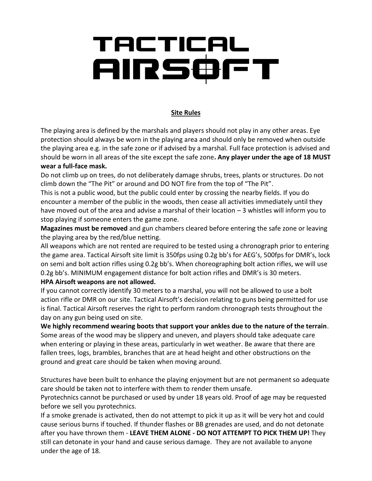# TACTICAL<br>AIRSOFT

## **Site Rules**

The playing area is defined by the marshals and players should not play in any other areas. Eye protection should always be worn in the playing area and should only be removed when outside the playing area e.g. in the safe zone or if advised by a marshal. Full face protection is advised and should be worn in all areas of the site except the safe zone**. Any player under the age of 18 MUST wear a full-face mask.** 

Do not climb up on trees, do not deliberately damage shrubs, trees, plants or structures. Do not climb down the "The Pit" or around and DO NOT fire from the top of "The Pit".

This is not a public wood, but the public could enter by crossing the nearby fields. If you do encounter a member of the public in the woods, then cease all activities immediately until they have moved out of the area and advise a marshal of their location - 3 whistles will inform you to stop playing if someone enters the game zone.

**Magazines must be removed** and gun chambers cleared before entering the safe zone or leaving the playing area by the red/blue netting.

All weapons which are not rented are required to be tested using a chronograph prior to entering the game area. Tactical Airsoft site limit is 350fps using 0.2g bb's for AEG's, 500fps for DMR's, lock on semi and bolt action rifles using 0.2g bb's. When choreographing bolt action rifles, we will use 0.2g bb's. MINIMUM engagement distance for bolt action rifles and DMR's is 30 meters.

### **HPA Airsoft weapons are not allowed.**

If you cannot correctly identify 30 meters to a marshal, you will not be allowed to use a bolt action rifle or DMR on our site. Tactical Airsoft's decision relating to guns being permitted for use is final. Tactical Airsoft reserves the right to perform random chronograph tests throughout the day on any gun being used on site.

**We highly recommend wearing boots that support your ankles due to the nature of the terrain**. Some areas of the wood may be slippery and uneven, and players should take adequate care when entering or playing in these areas, particularly in wet weather. Be aware that there are fallen trees, logs, brambles, branches that are at head height and other obstructions on the ground and great care should be taken when moving around.

Structures have been built to enhance the playing enjoyment but are not permanent so adequate care should be taken not to interfere with them to render them unsafe.

Pyrotechnics cannot be purchased or used by under 18 years old. Proof of age may be requested before we sell you pyrotechnics.

If a smoke grenade is activated, then do not attempt to pick it up as it will be very hot and could cause serious burns if touched. If thunder flashes or BB grenades are used, and do not detonate after you have thrown them - **LEAVE THEM ALONE - DO NOT ATTEMPT TO PICK THEM UP!** They still can detonate in your hand and cause serious damage. They are not available to anyone under the age of 18.